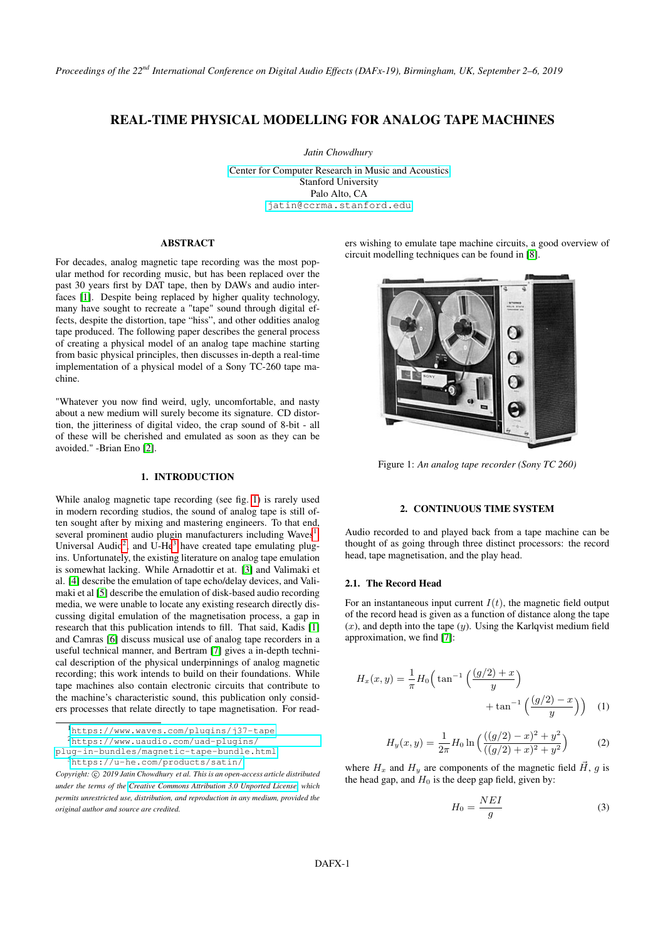# REAL-TIME PHYSICAL MODELLING FOR ANALOG TAPE MACHINES

*Jatin Chowdhury*

[Center for Computer Research in Music and Acoustics](http://ccrma.stanford.edu) Stanford University Palo Alto, CA [jatin@ccrma.stanford.edu](mailto:jatin@ccrma.stanford.edu)

# ABSTRACT

For decades, analog magnetic tape recording was the most popular method for recording music, but has been replaced over the past 30 years first by DAT tape, then by DAWs and audio interfaces [\[1\]](#page-6-0). Despite being replaced by higher quality technology, many have sought to recreate a "tape" sound through digital effects, despite the distortion, tape "hiss", and other oddities analog tape produced. The following paper describes the general process of creating a physical model of an analog tape machine starting from basic physical principles, then discusses in-depth a real-time implementation of a physical model of a Sony TC-260 tape machine.

"Whatever you now find weird, ugly, uncomfortable, and nasty about a new medium will surely become its signature. CD distortion, the jitteriness of digital video, the crap sound of 8-bit - all of these will be cherished and emulated as soon as they can be avoided." -Brian Eno [\[2\]](#page-6-1).

### 1. INTRODUCTION

While analog magnetic tape recording (see fig. [1\)](#page-0-0) is rarely used in modern recording studios, the sound of analog tape is still often sought after by mixing and mastering engineers. To that end, several prominent audio plugin manufacturers including Waves<sup>[1](#page-0-1)</sup>, Universal Audio<sup>[2](#page-0-2)</sup>, and U-He<sup>[3](#page-0-3)</sup> have created tape emulating plugins. Unfortunately, the existing literature on analog tape emulation is somewhat lacking. While Arnadottir et at. [\[3\]](#page-6-2) and Valimaki et al. [\[4\]](#page-6-3) describe the emulation of tape echo/delay devices, and Valimaki et al [\[5\]](#page-6-4) describe the emulation of disk-based audio recording media, we were unable to locate any existing research directly discussing digital emulation of the magnetisation process, a gap in research that this publication intends to fill. That said, Kadis [\[1\]](#page-6-0) and Camras [\[6\]](#page-6-5) discuss musical use of analog tape recorders in a useful technical manner, and Bertram [\[7\]](#page-6-6) gives a in-depth technical description of the physical underpinnings of analog magnetic recording; this work intends to build on their foundations. While tape machines also contain electronic circuits that contribute to the machine's characteristic sound, this publication only considers processes that relate directly to tape magnetisation. For readers wishing to emulate tape machine circuits, a good overview of circuit modelling techniques can be found in [\[8\]](#page-6-7).

<span id="page-0-0"></span>

Figure 1: *An analog tape recorder (Sony TC 260)*

# 2. CONTINUOUS TIME SYSTEM

Audio recorded to and played back from a tape machine can be thought of as going through three distinct processors: the record head, tape magnetisation, and the play head.

### 2.1. The Record Head

For an instantaneous input current  $I(t)$ , the magnetic field output of the record head is given as a function of distance along the tape  $(x)$ , and depth into the tape  $(y)$ . Using the Karlqvist medium field approximation, we find [\[7\]](#page-6-6):

$$
H_x(x,y) = \frac{1}{\pi} H_0 \left( \tan^{-1} \left( \frac{(g/2) + x}{y} \right) + \tan^{-1} \left( \frac{(g/2) - x}{y} \right) \right)
$$
 (1)

<span id="page-0-5"></span>
$$
H_y(x,y) = \frac{1}{2\pi} H_0 \ln\left(\frac{((g/2) - x)^2 + y^2}{((g/2) + x)^2 + y^2}\right)
$$
 (2)

where  $H_x$  and  $H_y$  are components of the magnetic field  $\vec{H}$ , q is the head gap, and  $H_0$  is the deep gap field, given by:

<span id="page-0-4"></span>
$$
H_0 = \frac{NEI}{g} \tag{3}
$$

<span id="page-0-1"></span><sup>1</sup><https://www.waves.com/plugins/j37-tape>

<span id="page-0-2"></span><sup>2</sup>[https://www.uaudio.com/uad-plugins/](https://www.uaudio.com/uad-plugins/plug-in-bundles/magnetic-tape-bundle.html)

<span id="page-0-3"></span>[plug-in-bundles/magnetic-tape-bundle.html](https://www.uaudio.com/uad-plugins/plug-in-bundles/magnetic-tape-bundle.html) <sup>3</sup><https://u-he.com/products/satin/>

Copyright:  $\odot$  2019 Jatin Chowdhury et al. This is an open-access article distributed *under the terms of the [Creative Commons Attribution 3.0 Unported License,](http://creativecommons.org/licenses/by/3.0/) which permits unrestricted use, distribution, and reproduction in any medium, provided the original author and source are credited.*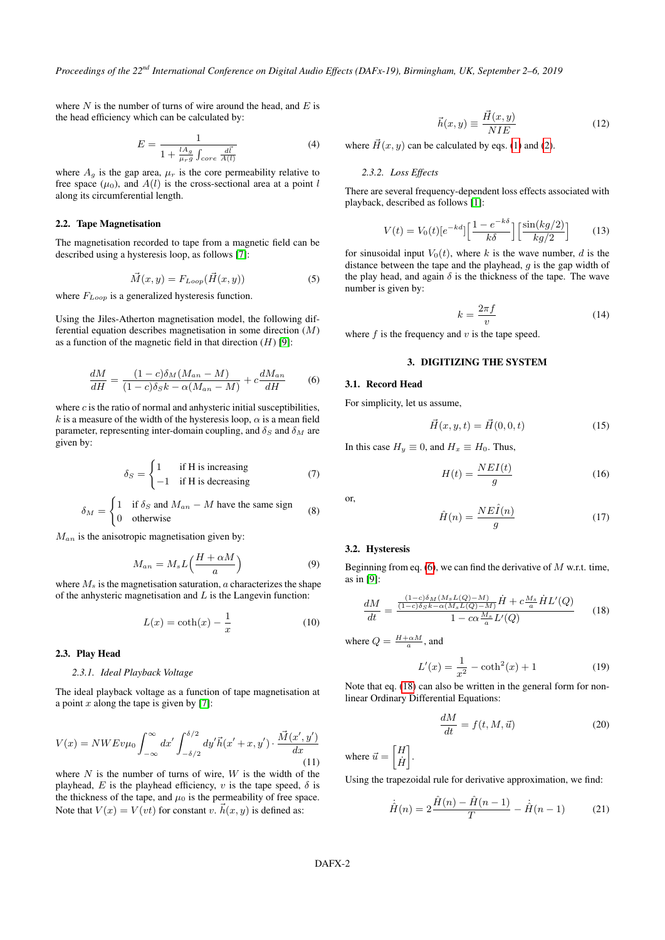where  $N$  is the number of turns of wire around the head, and  $E$  is the head efficiency which can be calculated by:

$$
E = \frac{1}{1 + \frac{lA_g}{\mu_r g} \int_{core} \frac{d\vec{l}}{A(l)}}\tag{4}
$$

where  $A_g$  is the gap area,  $\mu_r$  is the core permeability relative to free space  $(\mu_0)$ , and  $A(l)$  is the cross-sectional area at a point l along its circumferential length.

## 2.2. Tape Magnetisation

The magnetisation recorded to tape from a magnetic field can be described using a hysteresis loop, as follows [\[7\]](#page-6-6):

$$
\vec{M}(x,y) = F_{Loop}(\vec{H}(x,y))
$$
\n(5)

where  $F_{Loop}$  is a generalized hysteresis function.

Using the Jiles-Atherton magnetisation model, the following differential equation describes magnetisation in some direction (M) as a function of the magnetic field in that direction  $(H)$  [\[9\]](#page-6-8):

<span id="page-1-0"></span>
$$
\frac{dM}{dH} = \frac{(1-c)\delta_M(M_{an} - M)}{(1-c)\delta_S k - \alpha(M_{an} - M)} + c\frac{dM_{an}}{dH}
$$
(6)

where  $c$  is the ratio of normal and anhysteric initial susceptibilities, k is a measure of the width of the hysteresis loop,  $\alpha$  is a mean field parameter, representing inter-domain coupling, and  $\delta_S$  and  $\delta_M$  are given by:

$$
\delta_S = \begin{cases}\n1 & \text{if H is increasing} \\
-1 & \text{if H is decreasing}\n\end{cases}
$$
\n(7)

$$
\delta_M = \begin{cases} 1 & \text{if } \delta_S \text{ and } M_{an} - M \text{ have the same sign} \\ 0 & \text{otherwise} \end{cases}
$$
 (8)

 $M_{an}$  is the anisotropic magnetisation given by:

$$
M_{an} = M_s L \left(\frac{H + \alpha M}{a}\right) \tag{9}
$$

where  $M_s$  is the magnetisation saturation,  $a$  characterizes the shape of the anhysteric magnetisation and  $L$  is the Langevin function:

$$
L(x) = \coth(x) - \frac{1}{x} \tag{10}
$$

### 2.3. Play Head

#### *2.3.1. Ideal Playback Voltage*

The ideal playback voltage as a function of tape magnetisation at a point x along the tape is given by [\[7\]](#page-6-6):

<span id="page-1-2"></span>
$$
V(x) = NWEv\mu_0 \int_{-\infty}^{\infty} dx' \int_{-\delta/2}^{\delta/2} dy' \vec{h}(x' + x, y') \cdot \frac{\vec{M}(x', y')}{dx}
$$
\n(11)

where  $N$  is the number of turns of wire,  $W$  is the width of the playhead, E is the playhead efficiency, v is the tape speed,  $\delta$  is the thickness of the tape, and  $\mu_0$  is the permeability of free space. Note that  $V(x) = V(vt)$  for constant v.  $\vec{h}(x, y)$  is defined as:

<span id="page-1-3"></span>
$$
\vec{h}(x,y) \equiv \frac{\vec{H}(x,y)}{NIE} \tag{12}
$$

where  $\vec{H}(x, y)$  can be calculated by eqs. [\(1\)](#page-0-4) and [\(2\)](#page-0-5).

### *2.3.2. Loss Effects*

There are several frequency-dependent loss effects associated with playback, described as follows [\[1\]](#page-6-0):

<span id="page-1-5"></span>
$$
V(t) = V_0(t)[e^{-kd}]\left[\frac{1 - e^{-k\delta}}{k\delta}\right] \left[\frac{\sin(kg/2)}{kg/2}\right]
$$
 (13)

for sinusoidal input  $V_0(t)$ , where k is the wave number, d is the distance between the tape and the playhead, g is the gap width of the play head, and again  $\delta$  is the thickness of the tape. The wave number is given by:

<span id="page-1-6"></span>
$$
k = \frac{2\pi f}{v} \tag{14}
$$

where  $f$  is the frequency and  $v$  is the tape speed.

# 3. DIGITIZING THE SYSTEM

### 3.1. Record Head

For simplicity, let us assume,

<span id="page-1-9"></span>
$$
\vec{H}(x, y, t) = \vec{H}(0, 0, t)
$$
\n(15)

In this case  $H_y \equiv 0$ , and  $H_x \equiv H_0$ . Thus,

<span id="page-1-4"></span>
$$
H(t) = \frac{NEI(t)}{g} \tag{16}
$$

or,

<span id="page-1-7"></span>
$$
\hat{H}(n) = \frac{NE\hat{I}(n)}{g} \tag{17}
$$

#### 3.2. Hysteresis

Beginning from eq.  $(6)$ , we can find the derivative of M w.r.t. time, as in [\[9\]](#page-6-8):

<span id="page-1-1"></span>
$$
\frac{dM}{dt} = \frac{\frac{(1-c)\delta_M(M_sL(Q)-M)}{(1-c)\delta_S k - \alpha(M_sL(Q)-M)}\dot{H} + c\frac{M_s}{a}\dot{H}L'(Q)}{1 - c\alpha\frac{M_s}{a}L'(Q)}\tag{18}
$$

where  $Q = \frac{H + \alpha M}{a}$ , and

$$
L'(x) = \frac{1}{x^2} - \coth^2(x) + 1
$$
 (19)

Note that eq. [\(18\)](#page-1-1) can also be written in the general form for nonlinear Ordinary Differential Equations:

$$
\frac{dM}{dt} = f(t, M, \vec{u})\tag{20}
$$

where  $\vec{u} = \begin{bmatrix} H \\ \vec{u} \end{bmatrix}$  $\dot{H}$ ].

Using the trapezoidal rule for derivative approximation, we find:

<span id="page-1-8"></span>
$$
\dot{\hat{H}}(n) = 2\frac{\hat{H}(n) - \hat{H}(n-1)}{T} - \dot{\hat{H}}(n-1)
$$
 (21)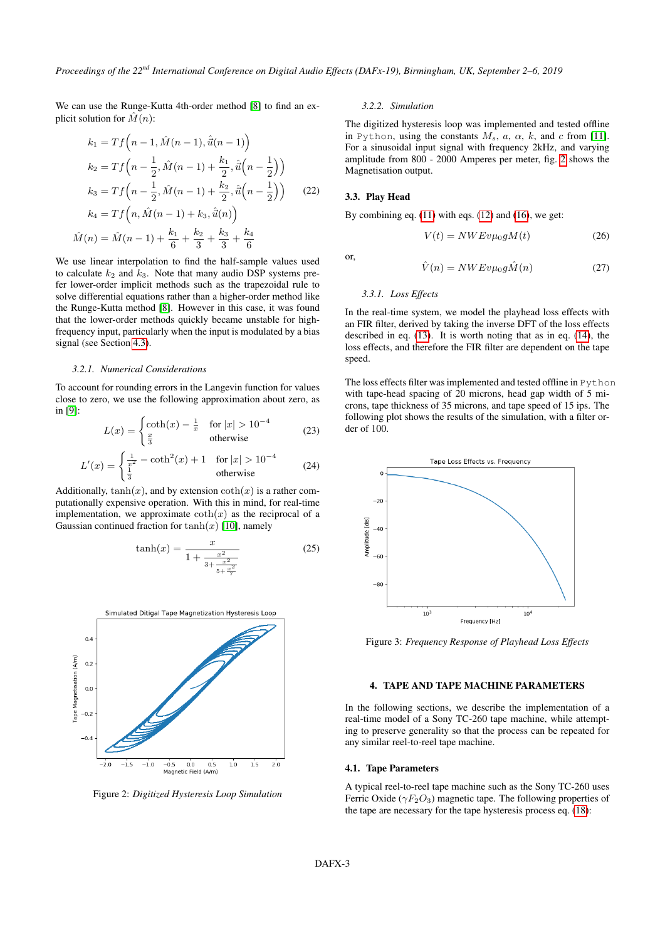We can use the Runge-Kutta 4th-order method [\[8\]](#page-6-7) to find an explicit solution for  $\hat{M}(n)$ :

$$
k_1 = Tf\left(n - 1, \hat{M}(n - 1), \hat{u}(n - 1)\right)
$$
  
\n
$$
k_2 = Tf\left(n - \frac{1}{2}, \hat{M}(n - 1) + \frac{k_1}{2}, \hat{u}\left(n - \frac{1}{2}\right)\right)
$$
  
\n
$$
k_3 = Tf\left(n - \frac{1}{2}, \hat{M}(n - 1) + \frac{k_2}{2}, \hat{u}\left(n - \frac{1}{2}\right)\right)
$$
  
\n
$$
k_4 = Tf\left(n, \hat{M}(n - 1) + k_3, \hat{u}(n)\right)
$$
  
\n
$$
\hat{M}(n) = \hat{M}(n - 1) + \frac{k_1}{6} + \frac{k_2}{3} + \frac{k_3}{3} + \frac{k_4}{6}
$$

We use linear interpolation to find the half-sample values used to calculate  $k_2$  and  $k_3$ . Note that many audio DSP systems prefer lower-order implicit methods such as the trapezoidal rule to solve differential equations rather than a higher-order method like the Runge-Kutta method [\[8\]](#page-6-7). However in this case, it was found that the lower-order methods quickly became unstable for highfrequency input, particularly when the input is modulated by a bias signal (see Section [4.3\)](#page-3-0).

#### *3.2.1. Numerical Considerations*

To account for rounding errors in the Langevin function for values close to zero, we use the following approximation about zero, as in [\[9\]](#page-6-8):

$$
L(x) = \begin{cases} \coth(x) - \frac{1}{x} & \text{for } |x| > 10^{-4} \\ \frac{x}{3} & \text{otherwise} \end{cases} \tag{23}
$$

$$
L'(x) = \begin{cases} \frac{1}{x^2} - \coth^2(x) + 1 & \text{for } |x| > 10^{-4} \\ \frac{1}{3} & \text{otherwise} \end{cases}
$$
 (24)

Additionally,  $tanh(x)$ , and by extension  $coth(x)$  is a rather computationally expensive operation. With this in mind, for real-time implementation, we approximate  $\coth(x)$  as the reciprocal of a Gaussian continued fraction for  $tanh(x)$  [\[10\]](#page-6-9), namely

$$
\tanh(x) = \frac{x}{1 + \frac{x^2}{3 + \frac{x^2}{5 + \frac{x^2}{7}}}}
$$
(25)

<span id="page-2-0"></span>

Figure 2: *Digitized Hysteresis Loop Simulation*

# *3.2.2. Simulation*

The digitized hysteresis loop was implemented and tested offline in Python, using the constants  $M_s$ ,  $a$ ,  $\alpha$ ,  $k$ , and  $c$  from [\[11\]](#page-6-10). For a sinusoidal input signal with frequency 2kHz, and varying amplitude from 800 - 2000 Amperes per meter, fig. [2](#page-2-0) shows the Magnetisation output.

### <span id="page-2-2"></span>3.3. Play Head

By combining eq.  $(11)$  with eqs.  $(12)$  and  $(16)$ , we get:

$$
V(t) = NWEv\mu_0 gM(t) \tag{26}
$$

or,

<span id="page-2-1"></span>
$$
\hat{V}(n) = NWEv\mu_0 g\hat{M}(n) \tag{27}
$$

#### <span id="page-2-3"></span>*3.3.1. Loss Effects*

In the real-time system, we model the playhead loss effects with an FIR filter, derived by taking the inverse DFT of the loss effects described in eq. [\(13\)](#page-1-5). It is worth noting that as in eq. [\(14\)](#page-1-6), the loss effects, and therefore the FIR filter are dependent on the tape speed.

The loss effects filter was implemented and tested offline in Python with tape-head spacing of 20 microns, head gap width of 5 microns, tape thickness of 35 microns, and tape speed of 15 ips. The following plot shows the results of the simulation, with a filter order of 100.



Figure 3: *Frequency Response of Playhead Loss Effects*

#### 4. TAPE AND TAPE MACHINE PARAMETERS

In the following sections, we describe the implementation of a real-time model of a Sony TC-260 tape machine, while attempting to preserve generality so that the process can be repeated for any similar reel-to-reel tape machine.

#### 4.1. Tape Parameters

A typical reel-to-reel tape machine such as the Sony TC-260 uses Ferric Oxide ( $\gamma F_2O_3$ ) magnetic tape. The following properties of the tape are necessary for the tape hysteresis process eq. [\(18\)](#page-1-1):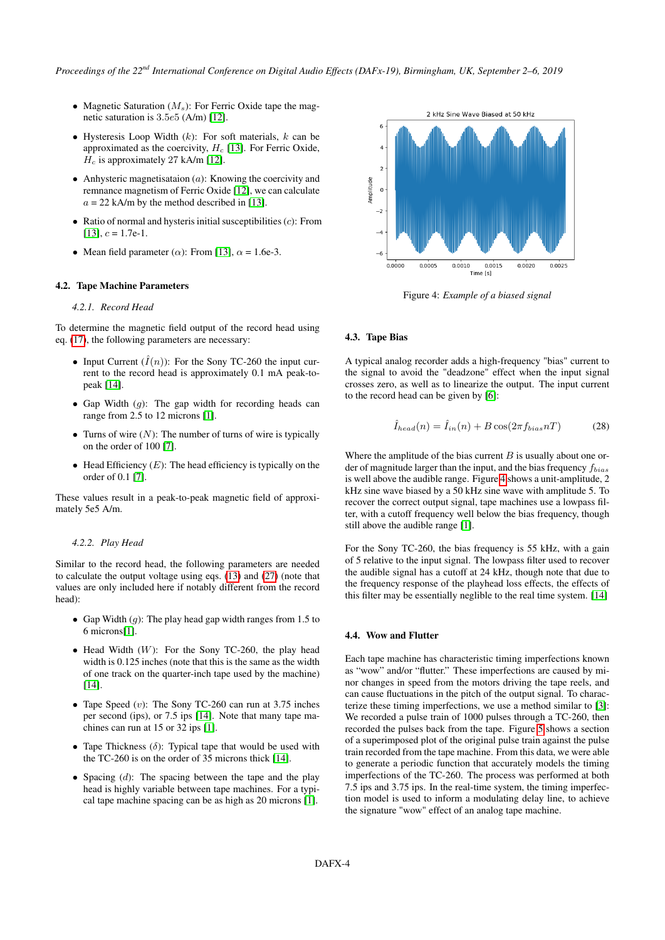- Magnetic Saturation  $(M_s)$ : For Ferric Oxide tape the magnetic saturation is 3.5e5 (A/m) [\[12\]](#page-6-11).
- Hysteresis Loop Width  $(k)$ : For soft materials,  $k$  can be approximated as the coercivity,  $H_c$  [\[13\]](#page-6-12). For Ferric Oxide,  $H_c$  is approximately 27 kA/m [\[12\]](#page-6-11).
- Anhysteric magnetisataion  $(a)$ : Knowing the coercivity and remnance magnetism of Ferric Oxide [\[12\]](#page-6-11), we can calculate  $a = 22$  kA/m by the method described in [\[13\]](#page-6-12).
- Ratio of normal and hysteris initial susceptibilities  $(c)$ : From  $[13]$ ,  $c = 1.7e-1$ .
- Mean field parameter ( $\alpha$ ): From [\[13\]](#page-6-12),  $\alpha = 1.6e-3$ .

## 4.2. Tape Machine Parameters

## *4.2.1. Record Head*

To determine the magnetic field output of the record head using eq. [\(17\)](#page-1-7), the following parameters are necessary:

- Input Current  $(\tilde{I}(n))$ : For the Sony TC-260 the input current to the record head is approximately 0.1 mA peak-topeak [\[14\]](#page-6-13).
- Gap Width  $(q)$ : The gap width for recording heads can range from 2.5 to 12 microns [\[1\]](#page-6-0).
- Turns of wire  $(N)$ : The number of turns of wire is typically on the order of 100 [\[7\]](#page-6-6).
- Head Efficiency  $(E)$ : The head efficiency is typically on the order of 0.1 [\[7\]](#page-6-6).

These values result in a peak-to-peak magnetic field of approximately 5e5 A/m.

### *4.2.2. Play Head*

Similar to the record head, the following parameters are needed to calculate the output voltage using eqs. [\(13\)](#page-1-5) and [\(27\)](#page-2-1) (note that values are only included here if notably different from the record head):

- Gap Width  $(q)$ : The play head gap width ranges from 1.5 to 6 microns[\[1\]](#page-6-0).
- $\bullet$  Head Width (W): For the Sony TC-260, the play head width is 0.125 inches (note that this is the same as the width of one track on the quarter-inch tape used by the machine) [\[14\]](#page-6-13).
- Tape Speed  $(v)$ : The Sony TC-260 can run at 3.75 inches per second (ips), or 7.5 ips [\[14\]](#page-6-13). Note that many tape machines can run at 15 or 32 ips [\[1\]](#page-6-0).
- Tape Thickness  $(\delta)$ : Typical tape that would be used with the TC-260 is on the order of 35 microns thick [\[14\]](#page-6-13).
- Spacing  $(d)$ : The spacing between the tape and the play head is highly variable between tape machines. For a typical tape machine spacing can be as high as 20 microns [\[1\]](#page-6-0).

<span id="page-3-1"></span>

Figure 4: *Example of a biased signal*

### <span id="page-3-0"></span>4.3. Tape Bias

A typical analog recorder adds a high-frequency "bias" current to the signal to avoid the "deadzone" effect when the input signal crosses zero, as well as to linearize the output. The input current to the record head can be given by [\[6\]](#page-6-5):

<span id="page-3-2"></span>
$$
\hat{I}_{head}(n) = \hat{I}_{in}(n) + B\cos(2\pi f_{bias} nT) \tag{28}
$$

Where the amplitude of the bias current  $B$  is usually about one order of magnitude larger than the input, and the bias frequency  $f_{bias}$ is well above the audible range. Figure [4](#page-3-1) shows a unit-amplitude, 2 kHz sine wave biased by a 50 kHz sine wave with amplitude 5. To recover the correct output signal, tape machines use a lowpass filter, with a cutoff frequency well below the bias frequency, though still above the audible range [\[1\]](#page-6-0).

For the Sony TC-260, the bias frequency is 55 kHz, with a gain of 5 relative to the input signal. The lowpass filter used to recover the audible signal has a cutoff at 24 kHz, though note that due to the frequency response of the playhead loss effects, the effects of this filter may be essentially neglible to the real time system. [\[14\]](#page-6-13)

#### <span id="page-3-3"></span>4.4. Wow and Flutter

Each tape machine has characteristic timing imperfections known as "wow" and/or "flutter." These imperfections are caused by minor changes in speed from the motors driving the tape reels, and can cause fluctuations in the pitch of the output signal. To characterize these timing imperfections, we use a method similar to [\[3\]](#page-6-2): We recorded a pulse train of 1000 pulses through a TC-260, then recorded the pulses back from the tape. Figure [5](#page-4-0) shows a section of a superimposed plot of the original pulse train against the pulse train recorded from the tape machine. From this data, we were able to generate a periodic function that accurately models the timing imperfections of the TC-260. The process was performed at both 7.5 ips and 3.75 ips. In the real-time system, the timing imperfection model is used to inform a modulating delay line, to achieve the signature "wow" effect of an analog tape machine.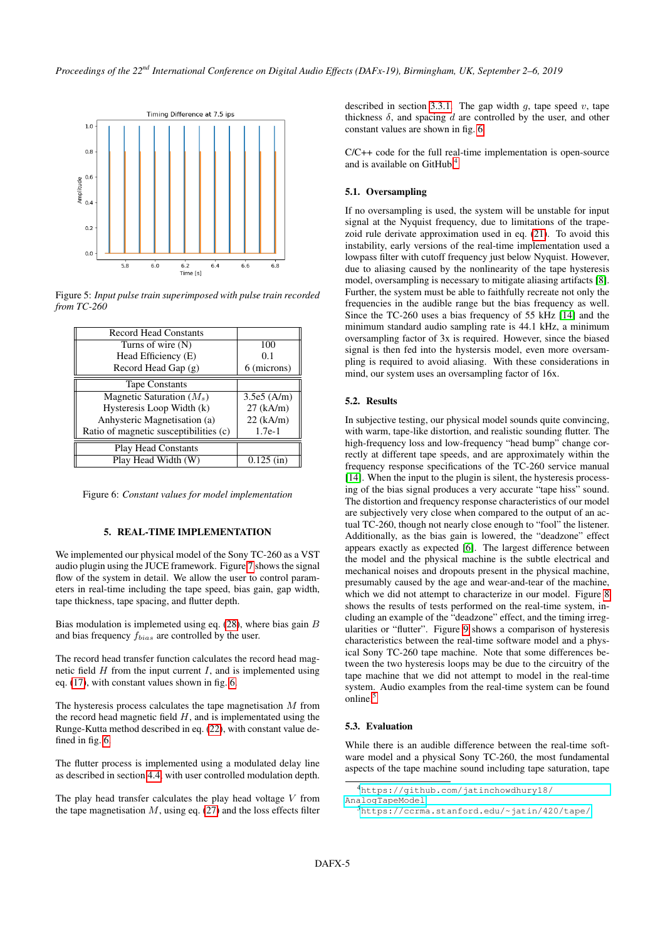<span id="page-4-0"></span>

Figure 5: *Input pulse train superimposed with pulse train recorded from TC-260*

<span id="page-4-1"></span>

| <b>Record Head Constants</b>           |              |
|----------------------------------------|--------------|
| Turns of wire $(N)$                    | 100          |
| Head Efficiency (E)                    | 0.1          |
| Record Head Gap (g)                    | 6 (microns)  |
| <b>Tape Constants</b>                  |              |
| Magnetic Saturation $(M_s)$            | 3.5e5 (A/m)  |
| Hysteresis Loop Width (k)              | $27$ (kA/m)  |
| Anhysteric Magnetisation (a)           | $22$ (kA/m)  |
| Ratio of magnetic susceptibilities (c) | $1.7e-1$     |
| <b>Play Head Constants</b>             |              |
| Play Head Width (W)                    | $0.125$ (in) |

Figure 6: *Constant values for model implementation*

# 5. REAL-TIME IMPLEMENTATION

We implemented our physical model of the Sony TC-260 as a VST audio plugin using the JUCE framework. Figure [7](#page-5-0) shows the signal flow of the system in detail. We allow the user to control parameters in real-time including the tape speed, bias gain, gap width, tape thickness, tape spacing, and flutter depth.

Bias modulation is implemeted using eq.  $(28)$ , where bias gain  $B$ and bias frequency  $f_{bias}$  are controlled by the user.

The record head transfer function calculates the record head magnetic field  $H$  from the input current  $I$ , and is implemented using eq. [\(17\)](#page-1-7), with constant values shown in fig. [6.](#page-4-1)

The hysteresis process calculates the tape magnetisation  $M$  from the record head magnetic field  $H$ , and is implementated using the Runge-Kutta method described in eq. [\(22\)](#page-2-2), with constant value defined in fig. [6.](#page-4-1)

The flutter process is implemented using a modulated delay line as described in section [4.4,](#page-3-3) with user controlled modulation depth.

The play head transfer calculates the play head voltage  $V$  from the tape magnetisation  $M$ , using eq. [\(27\)](#page-2-1) and the loss effects filter described in section [3.3.1.](#page-2-3) The gap width  $q$ , tape speed  $v$ , tape thickness  $\delta$ , and spacing d are controlled by the user, and other constant values are shown in fig. [6.](#page-4-1)

C/C++ code for the full real-time implementation is open-source and is available on GitHub.[4](#page-4-2)

# 5.1. Oversampling

If no oversampling is used, the system will be unstable for input signal at the Nyquist frequency, due to limitations of the trapezoid rule derivate approximation used in eq. [\(21\)](#page-1-8). To avoid this instability, early versions of the real-time implementation used a lowpass filter with cutoff frequency just below Nyquist. However, due to aliasing caused by the nonlinearity of the tape hysteresis model, oversampling is necessary to mitigate aliasing artifacts [\[8\]](#page-6-7). Further, the system must be able to faithfully recreate not only the frequencies in the audible range but the bias frequency as well. Since the TC-260 uses a bias frequency of 55 kHz [\[14\]](#page-6-13) and the minimum standard audio sampling rate is 44.1 kHz, a minimum oversampling factor of 3x is required. However, since the biased signal is then fed into the hystersis model, even more oversampling is required to avoid aliasing. With these considerations in mind, our system uses an oversampling factor of 16x.

### 5.2. Results

In subjective testing, our physical model sounds quite convincing, with warm, tape-like distortion, and realistic sounding flutter. The high-frequency loss and low-frequency "head bump" change correctly at different tape speeds, and are approximately within the frequency response specifications of the TC-260 service manual [\[14\]](#page-6-13). When the input to the plugin is silent, the hysteresis processing of the bias signal produces a very accurate "tape hiss" sound. The distortion and frequency response characteristics of our model are subjectively very close when compared to the output of an actual TC-260, though not nearly close enough to "fool" the listener. Additionally, as the bias gain is lowered, the "deadzone" effect appears exactly as expected [\[6\]](#page-6-5). The largest difference between the model and the physical machine is the subtle electrical and mechanical noises and dropouts present in the physical machine, presumably caused by the age and wear-and-tear of the machine, which we did not attempt to characterize in our model. Figure [8](#page-5-1) shows the results of tests performed on the real-time system, including an example of the "deadzone" effect, and the timing irregularities or "flutter". Figure [9](#page-5-2) shows a comparison of hysteresis characteristics between the real-time software model and a physical Sony TC-260 tape machine. Note that some differences between the two hysteresis loops may be due to the circuitry of the tape machine that we did not attempt to model in the real-time system. Audio examples from the real-time system can be found online.<sup>[5](#page-4-3)</sup>

# 5.3. Evaluation

While there is an audible difference between the real-time software model and a physical Sony TC-260, the most fundamental aspects of the tape machine sound including tape saturation, tape

<span id="page-4-2"></span><sup>4</sup>[https://github.com/jatinchowdhury18/](https://github.com/jatinchowdhury18/AnalogTapeModel)

[AnalogTapeModel](https://github.com/jatinchowdhury18/AnalogTapeModel)

<span id="page-4-3"></span><sup>5</sup><https://ccrma.stanford.edu/~jatin/420/tape/>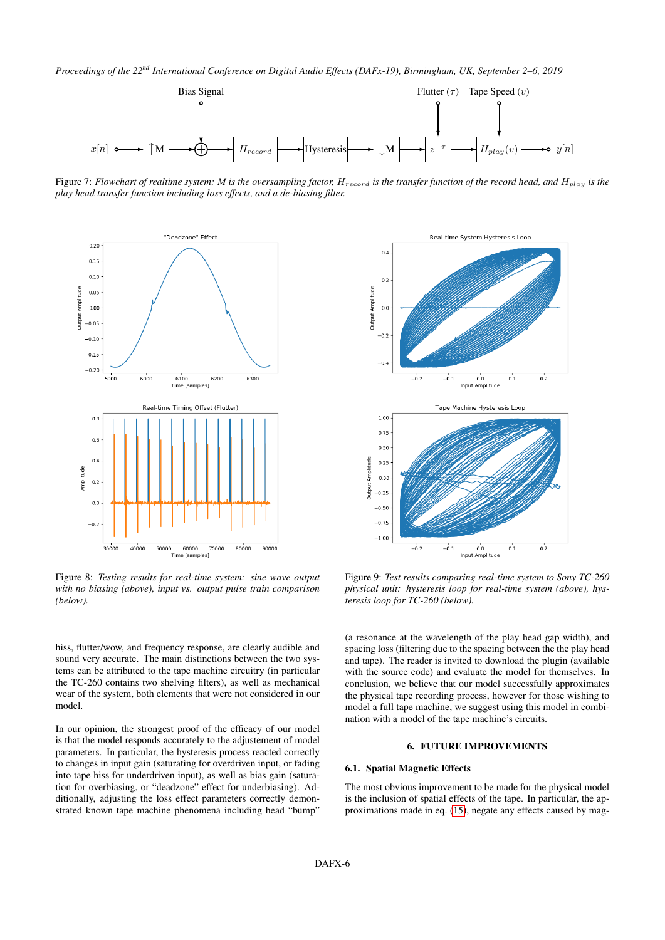<span id="page-5-0"></span>

Figure 7: *Flowchart of realtime system:* M is the oversampling factor,  $H_{record}$  is the transfer function of the record head, and  $H_{play}$  is the *play head transfer function including loss effects, and a de-biasing filter.*

<span id="page-5-1"></span>

Figure 8: *Testing results for real-time system: sine wave output with no biasing (above), input vs. output pulse train comparison (below).*

hiss, flutter/wow, and frequency response, are clearly audible and sound very accurate. The main distinctions between the two systems can be attributed to the tape machine circuitry (in particular the TC-260 contains two shelving filters), as well as mechanical wear of the system, both elements that were not considered in our model.

In our opinion, the strongest proof of the efficacy of our model is that the model responds accurately to the adjustement of model parameters. In particular, the hysteresis process reacted correctly to changes in input gain (saturating for overdriven input, or fading into tape hiss for underdriven input), as well as bias gain (saturation for overbiasing, or "deadzone" effect for underbiasing). Additionally, adjusting the loss effect parameters correctly demonstrated known tape machine phenomena including head "bump"

<span id="page-5-2"></span>

Figure 9: *Test results comparing real-time system to Sony TC-260 physical unit: hysteresis loop for real-time system (above), hysteresis loop for TC-260 (below).*

(a resonance at the wavelength of the play head gap width), and spacing loss (filtering due to the spacing between the the play head and tape). The reader is invited to download the plugin (available with the source code) and evaluate the model for themselves. In conclusion, we believe that our model successfully approximates the physical tape recording process, however for those wishing to model a full tape machine, we suggest using this model in combination with a model of the tape machine's circuits.

# 6. FUTURE IMPROVEMENTS

# 6.1. Spatial Magnetic Effects

The most obvious improvement to be made for the physical model is the inclusion of spatial effects of the tape. In particular, the approximations made in eq. [\(15\)](#page-1-9), negate any effects caused by mag-